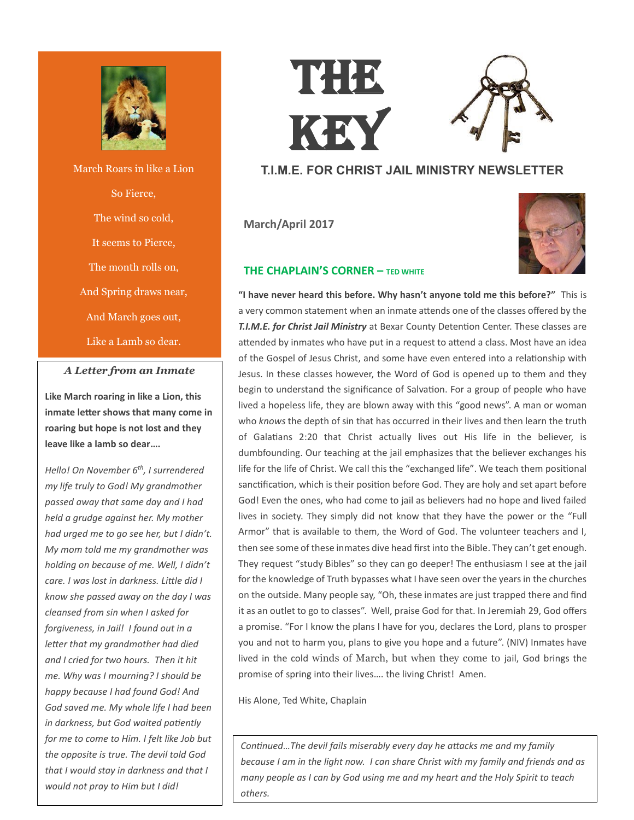

March Roars in like a Lion So Fierce, The wind so cold, It seems to Pierce, The month rolls on, And Spring draws near, And March goes out, Like a Lamb so dear.

## *A Letter from an Inmate*

The

**Like March roaring in like a Lion, this inmate letter shows that many come in roaring but hope is not lost and they leave like a lamb so dear….**

*Hello! On November 6th, I surrendered my life truly to God! My grandmother passed away that same day and I had held a grudge against her. My mother had urged me to go see her, but I didn't. My mom told me my grandmother was holding on because of me. Well, I didn't care. I was lost in darkness. Little did I know she passed away on the day I was cleansed from sin when I asked for forgiveness, in Jail! I found out in a letter that my grandmother had died and I cried for two hours. Then it hit me. Why was I mourning? I should be happy because I had found God! And God saved me. My whole life I had been in darkness, but God waited patiently for me to come to Him. I felt like Job but the opposite is true. The devil told God that I would stay in darkness and that I would not pray to Him but I did!* 





## **T.I.M.E. FOR CHRIST JAIL MINISTRY NEWSLETTER**

**March/April 2017**



## **THE CHAPLAIN'S CORNER – TED WHITE**

**"I have never heard this before. Why hasn't anyone told me this before?"** This is a very common statement when an inmate attends one of the classes offered by the *T.I.M.E. for Christ Jail Ministry* at Bexar County Detention Center. These classes are attended by inmates who have put in a request to attend a class. Most have an idea of the Gospel of Jesus Christ, and some have even entered into a relationship with Jesus. In these classes however, the Word of God is opened up to them and they begin to understand the significance of Salvation. For a group of people who have lived a hopeless life, they are blown away with this "good news". A man or woman who *knows* the depth of sin that has occurred in their lives and then learn the truth of Galatians 2:20 that Christ actually lives out His life in the believer, is dumbfounding. Our teaching at the jail emphasizes that the believer exchanges his life for the life of Christ. We call this the "exchanged life". We teach them positional sanctification, which is their position before God. They are holy and set apart before God! Even the ones, who had come to jail as believers had no hope and lived failed lives in society. They simply did not know that they have the power or the "Full Armor" that is available to them, the Word of God. The volunteer teachers and I, then see some of these inmates dive head first into the Bible. They can't get enough. They request "study Bibles" so they can go deeper! The enthusiasm I see at the jail for the knowledge of Truth bypasses what I have seen over the years in the churches on the outside. Many people say, "Oh, these inmates are just trapped there and find it as an outlet to go to classes". Well, praise God for that. In Jeremiah 29, God offers a promise. "For I know the plans I have for you, declares the Lord, plans to prosper you and not to harm you, plans to give you hope and a future". (NIV) Inmates have lived in the cold winds of March, but when they come to jail, God brings the promise of spring into their lives…. the living Christ! Amen.

His Alone, Ted White, Chaplain

*Continued…The devil fails miserably every day he attacks me and my family because I am in the light now. I can share Christ with my family and friends and as many people as I can by God using me and my heart and the Holy Spirit to teach others.*